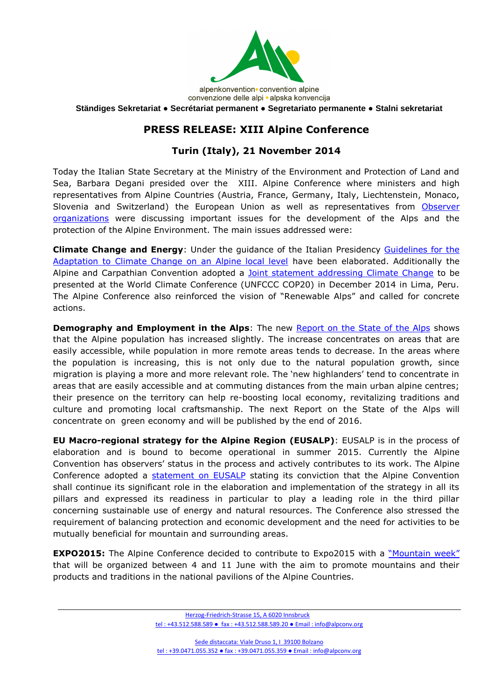

convenzione delle alpi · alpska konvencija

**Ständiges Sekretariat ● Secrétariat permanent ● Segretariato permanente ● Stalni sekretariat**

## **PRESS RELEASE: XIII Alpine Conference**

## **Turin (Italy), 21 November 2014**

Today the Italian State Secretary at the Ministry of the Environment and Protection of Land and Sea, Barbara Degani presided over the XIII. Alpine Conference where ministers and high representatives from Alpine Countries (Austria, France, Germany, Italy, Liechtenstein, Monaco, Slovenia and Switzerland) the European Union as well as representatives from [Observer](http://www.alpconv.org/EN/ORGANIZATION/OBSERVERS/default.html)  [organizations](http://www.alpconv.org/EN/ORGANIZATION/OBSERVERS/default.html) were discussing important issues for the development of the Alps and the protection of the Alpine Environment. The main issues addressed were:

**Climate Change and Energy**: Under the guidance of the Italian Presidency [Guidelines for the](http://http/www.alpconv.org/en/ClimatePortal/Documents/GuidelinesCC.pdf)  [Adaptation to Climate Change on an Alpine local level](http://http/www.alpconv.org/en/ClimatePortal/Documents/GuidelinesCC.pdf) have been elaborated. Additionally the Alpine and Carpathian Convention adopted a [Joint statement addressing Climate Change](http://www.alpconv.org/en/organization/conference/XIIIAC/Documents/Climate%20Change%20Joint_%20Alpine-Carpathian%20Statement%20EN.pdf) to be presented at the World Climate Conference (UNFCCC COP20) in December 2014 in Lima, Peru. The Alpine Conference also reinforced the vision of "Renewable Alps" and called for concrete actions.

**Demography and Employment in the Alps:** The new [Report on the State of the Alps](http://www.alpconv.org/en/AlpineKnowledge/RSA/default.html) shows that the Alpine population has increased slightly. The increase concentrates on areas that are easily accessible, while population in more remote areas tends to decrease. In the areas where the population is increasing, this is not only due to the natural population growth, since migration is playing a more and more relevant role. The 'new highlanders' tend to concentrate in areas that are easily accessible and at commuting distances from the main urban alpine centres; their presence on the territory can help re-boosting local economy, revitalizing traditions and culture and promoting local craftsmanship. The next Report on the State of the Alps will concentrate on green economy and will be published by the end of 2016.

**EU Macro-regional strategy for the Alpine Region (EUSALP)**: EUSALP is in the process of elaboration and is bound to become operational in summer 2015. Currently the Alpine Convention has observers' status in the process and actively contributes to its work. The Alpine Conference adopted a [statement on EUSALP](http://www.alpconv.org/en/organization/conference/XIIIAC/default.html) stating its conviction that the Alpine Convention shall continue its significant role in the elaboration and implementation of the strategy in all its pillars and expressed its readiness in particular to play a leading role in the third pillar concerning sustainable use of energy and natural resources. The Conference also stressed the requirement of balancing protection and economic development and the need for activities to be mutually beneficial for mountain and surrounding areas.

**EXPO2015:** The Alpine Conference decided to contribute to Expo2015 with a ["Mountain week"](http://www.alpconv.org/en/organization/presidency/expo2015/default.html) that will be organized between 4 and 11 June with the aim to promote mountains and their products and traditions in the national pavilions of the Alpine Countries.

> Herzog-Friedrich-Strasse 15, A 6020 Innsbruck tel : +43.512.588.589 ● fax : +43.512.588.589.20 ● Email : info@alpconv.org